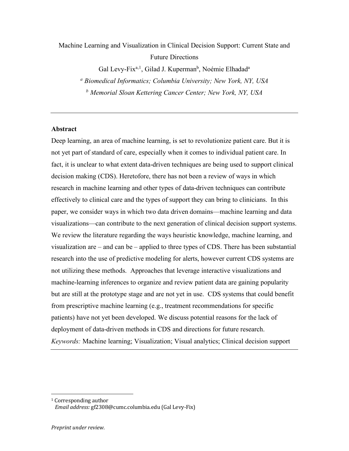Machine Learning and Visualization in Clinical Decision Support: Current State and Future Directions

Gal Levy-Fix<sup>a, 1</sup>, Gilad J. Kuperman<sup>b</sup>, Noémie Elhadad<sup>a</sup>

*<sup>a</sup> Biomedical Informatics; Columbia University; New York, NY, USA*

*<sup>b</sup> Memorial Sloan Kettering Cancer Center; New York, NY, USA*

### **Abstract**

Deep learning, an area of machine learning, is set to revolutionize patient care. But it is not yet part of standard of care, especially when it comes to individual patient care. In fact, it is unclear to what extent data-driven techniques are being used to support clinical decision making (CDS). Heretofore, there has not been a review of ways in which research in machine learning and other types of data-driven techniques can contribute effectively to clinical care and the types of support they can bring to clinicians. In this paper, we consider ways in which two data driven domains—machine learning and data visualizations—can contribute to the next generation of clinical decision support systems. We review the literature regarding the ways heuristic knowledge, machine learning, and visualization are – and can be – applied to three types of CDS. There has been substantial research into the use of predictive modeling for alerts, however current CDS systems are not utilizing these methods. Approaches that leverage interactive visualizations and machine-learning inferences to organize and review patient data are gaining popularity but are still at the prototype stage and are not yet in use. CDS systems that could benefit from prescriptive machine learning (e.g., treatment recommendations for specific patients) have not yet been developed. We discuss potential reasons for the lack of deployment of data-driven methods in CDS and directions for future research. *Keywords:* Machine learning; Visualization; Visual analytics; Clinical decision support

 

 $1$  Corresponding author

*Email address:* gf2308@cumc.columbia.edu (Gal Levy-Fix)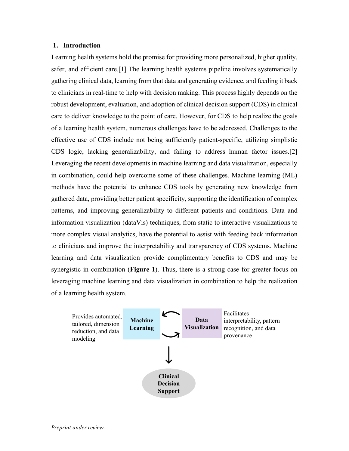### **1. Introduction**

Learning health systems hold the promise for providing more personalized, higher quality, safer, and efficient care.[1] The learning health systems pipeline involves systematically gathering clinical data, learning from that data and generating evidence, and feeding it back to clinicians in real-time to help with decision making. This process highly depends on the robust development, evaluation, and adoption of clinical decision support (CDS) in clinical care to deliver knowledge to the point of care. However, for CDS to help realize the goals of a learning health system, numerous challenges have to be addressed. Challenges to the effective use of CDS include not being sufficiently patient-specific, utilizing simplistic CDS logic, lacking generalizability, and failing to address human factor issues.[2] Leveraging the recent developments in machine learning and data visualization, especially in combination, could help overcome some of these challenges. Machine learning (ML) methods have the potential to enhance CDS tools by generating new knowledge from gathered data, providing better patient specificity, supporting the identification of complex patterns, and improving generalizability to different patients and conditions. Data and information visualization (dataVis) techniques, from static to interactive visualizations to more complex visual analytics, have the potential to assist with feeding back information to clinicians and improve the interpretability and transparency of CDS systems. Machine learning and data visualization provide complimentary benefits to CDS and may be synergistic in combination (**Figure 1**). Thus, there is a strong case for greater focus on leveraging machine learning and data visualization in combination to help the realization of a learning health system.

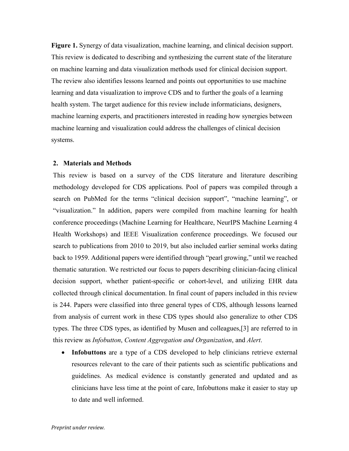**Figure 1.** Synergy of data visualization, machine learning, and clinical decision support. This review is dedicated to describing and synthesizing the current state of the literature on machine learning and data visualization methods used for clinical decision support. The review also identifies lessons learned and points out opportunities to use machine learning and data visualization to improve CDS and to further the goals of a learning health system. The target audience for this review include informaticians, designers, machine learning experts, and practitioners interested in reading how synergies between machine learning and visualization could address the challenges of clinical decision systems.

### **2. Materials and Methods**

This review is based on a survey of the CDS literature and literature describing methodology developed for CDS applications. Pool of papers was compiled through a search on PubMed for the terms "clinical decision support", "machine learning", or "visualization." In addition, papers were compiled from machine learning for health conference proceedings (Machine Learning for Healthcare, NeurIPS Machine Learning 4 Health Workshops) and IEEE Visualization conference proceedings. We focused our search to publications from 2010 to 2019, but also included earlier seminal works dating back to 1959. Additional papers were identified through "pearl growing," until we reached thematic saturation. We restricted our focus to papers describing clinician-facing clinical decision support, whether patient-specific or cohort-level, and utilizing EHR data collected through clinical documentation. In final count of papers included in this review is 244. Papers were classified into three general types of CDS, although lessons learned from analysis of current work in these CDS types should also generalize to other CDS types. The three CDS types, as identified by Musen and colleagues,[3] are referred to in this review as *Infobutton*, *Content Aggregation and Organization*, and *Alert*.

• **Infobuttons** are a type of a CDS developed to help clinicians retrieve external resources relevant to the care of their patients such as scientific publications and guidelines. As medical evidence is constantly generated and updated and as clinicians have less time at the point of care, Infobuttons make it easier to stay up to date and well informed.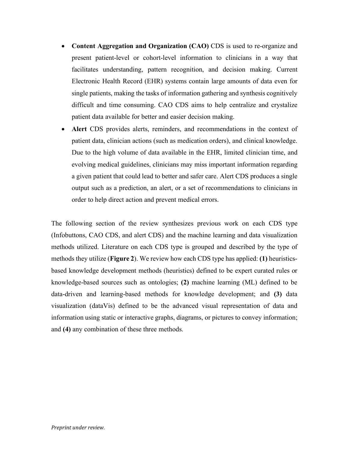- **Content Aggregation and Organization (CAO)** CDS is used to re-organize and present patient-level or cohort-level information to clinicians in a way that facilitates understanding, pattern recognition, and decision making. Current Electronic Health Record (EHR) systems contain large amounts of data even for single patients, making the tasks of information gathering and synthesis cognitively difficult and time consuming. CAO CDS aims to help centralize and crystalize patient data available for better and easier decision making.
- **Alert** CDS provides alerts, reminders, and recommendations in the context of patient data, clinician actions (such as medication orders), and clinical knowledge. Due to the high volume of data available in the EHR, limited clinician time, and evolving medical guidelines, clinicians may miss important information regarding a given patient that could lead to better and safer care. Alert CDS produces a single output such as a prediction, an alert, or a set of recommendations to clinicians in order to help direct action and prevent medical errors.

The following section of the review synthesizes previous work on each CDS type (Infobuttons, CAO CDS, and alert CDS) and the machine learning and data visualization methods utilized. Literature on each CDS type is grouped and described by the type of methods they utilize (**Figure 2**). We review how each CDS type has applied: **(1)** heuristicsbased knowledge development methods (heuristics) defined to be expert curated rules or knowledge-based sources such as ontologies; **(2)** machine learning (ML) defined to be data-driven and learning-based methods for knowledge development; and **(3)** data visualization (dataVis) defined to be the advanced visual representation of data and information using static or interactive graphs, diagrams, or pictures to convey information; and **(4)** any combination of these three methods.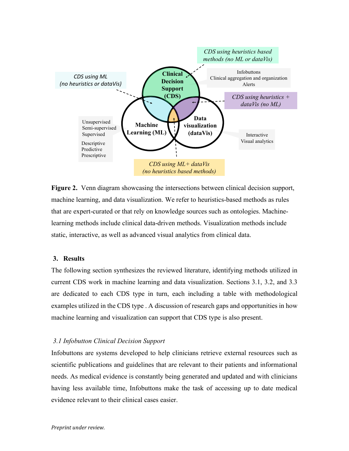

**Figure 2.** Venn diagram showcasing the intersections between clinical decision support, machine learning, and data visualization. We refer to heuristics-based methods as rules that are expert-curated or that rely on knowledge sources such as ontologies. Machinelearning methods include clinical data-driven methods. Visualization methods include static, interactive, as well as advanced visual analytics from clinical data.

## **3. Results**

The following section synthesizes the reviewed literature, identifying methods utilized in current CDS work in machine learning and data visualization. Sections 3.1, 3.2, and 3.3 are dedicated to each CDS type in turn, each including a table with methodological examples utilized in the CDS type . A discussion of research gaps and opportunities in how machine learning and visualization can support that CDS type is also present.

### *3.1 Infobutton Clinical Decision Support*

Infobuttons are systems developed to help clinicians retrieve external resources such as scientific publications and guidelines that are relevant to their patients and informational needs. As medical evidence is constantly being generated and updated and with clinicians having less available time, Infobuttons make the task of accessing up to date medical evidence relevant to their clinical cases easier.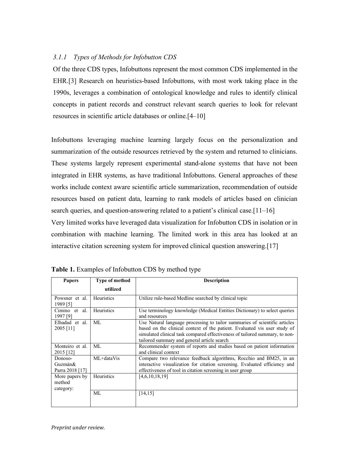## *3.1.1 Types of Methods for Infobutton CDS*

Of the three CDS types, Infobuttons represent the most common CDS implemented in the EHR.[3] Research on heuristics-based Infobuttons, with most work taking place in the 1990s, leverages a combination of ontological knowledge and rules to identify clinical concepts in patient records and construct relevant search queries to look for relevant resources in scientific article databases or online.[4–10]

Infobuttons leveraging machine learning largely focus on the personalization and summarization of the outside resources retrieved by the system and returned to clinicians. These systems largely represent experimental stand-alone systems that have not been integrated in EHR systems, as have traditional Infobuttons. General approaches of these works include context aware scientific article summarization, recommendation of outside resources based on patient data, learning to rank models of articles based on clinician search queries, and question-answering related to a patient's clinical case.[11–16] Very limited works have leveraged data visualization for Infobutton CDS in isolation or in combination with machine learning. The limited work in this area has looked at an interactive citation screening system for improved clinical question answering.[17]

| <b>Papers</b>                         | <b>Type of method</b> | <b>Description</b>                                                                                                                                                                                                                                                                    |
|---------------------------------------|-----------------------|---------------------------------------------------------------------------------------------------------------------------------------------------------------------------------------------------------------------------------------------------------------------------------------|
|                                       | utilized              |                                                                                                                                                                                                                                                                                       |
| Powsner et al.<br>1989 [5]            | Heuristics            | Utilize rule-based Medline searched by clinical topic                                                                                                                                                                                                                                 |
| Cimino et<br>al.<br>1997 [9]          | Heuristics            | Use terminology knowledge (Medical Entities Dictionary) to select queries<br>and resources                                                                                                                                                                                            |
| Elhadad et al.<br>2005 [11]           | ML                    | Use Natural language processing to tailor summaries of scientific articles<br>based on the clinical context of the patient. Evaluated vis user study of<br>simulated clinical task compared effectiveness of tailored summary, to non-<br>tailored summary and general article search |
| Monteiro et al.<br>2015 [12]          | MI.                   | Recommender system of reports and studies based on patient information<br>and clinical context                                                                                                                                                                                        |
| Donoso-<br>Guzmán&<br>Parra 2018 [17] | ML+dataVis            | Compare two relevance feedback algorithms, Rocchio and BM25, in an<br>interactive visualization for citation screening. Evaluated efficiency and<br>effectiveness of tool in citation screening in user group                                                                         |
| More papers by<br>method<br>category: | Heuristics            | [4,6,10,18,19]                                                                                                                                                                                                                                                                        |
|                                       | MI.                   | [14, 15]                                                                                                                                                                                                                                                                              |

**Table 1.** Examples of Infobutton CDS by method type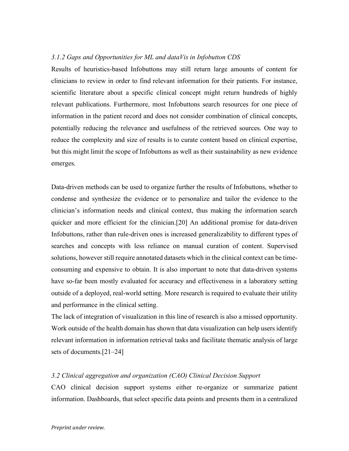## *3.1.2 Gaps and Opportunities for ML and dataVis in Infobutton CDS*

Results of heuristics-based Infobuttons may still return large amounts of content for clinicians to review in order to find relevant information for their patients. For instance, scientific literature about a specific clinical concept might return hundreds of highly relevant publications. Furthermore, most Infobuttons search resources for one piece of information in the patient record and does not consider combination of clinical concepts, potentially reducing the relevance and usefulness of the retrieved sources. One way to reduce the complexity and size of results is to curate content based on clinical expertise, but this might limit the scope of Infobuttons as well as their sustainability as new evidence emerges.

Data-driven methods can be used to organize further the results of Infobuttons, whether to condense and synthesize the evidence or to personalize and tailor the evidence to the clinician's information needs and clinical context, thus making the information search quicker and more efficient for the clinician.[20] An additional promise for data-driven Infobuttons, rather than rule-driven ones is increased generalizability to different types of searches and concepts with less reliance on manual curation of content. Supervised solutions, however still require annotated datasets which in the clinical context can be timeconsuming and expensive to obtain. It is also important to note that data-driven systems have so-far been mostly evaluated for accuracy and effectiveness in a laboratory setting outside of a deployed, real-world setting. More research is required to evaluate their utility and performance in the clinical setting.

The lack of integration of visualization in this line of research is also a missed opportunity. Work outside of the health domain has shown that data visualization can help users identify relevant information in information retrieval tasks and facilitate thematic analysis of large sets of documents.[21–24]

### *3.2 Clinical aggregation and organization (CAO) Clinical Decision Support*

CAO clinical decision support systems either re-organize or summarize patient information. Dashboards, that select specific data points and presents them in a centralized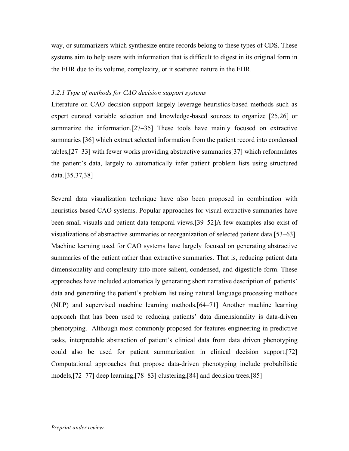way, or summarizers which synthesize entire records belong to these types of CDS. These systems aim to help users with information that is difficult to digest in its original form in the EHR due to its volume, complexity, or it scattered nature in the EHR.

### *3.2.1 Type of methods for CAO decision support systems*

Literature on CAO decision support largely leverage heuristics-based methods such as expert curated variable selection and knowledge-based sources to organize [25,26] or summarize the information.[27–35] These tools have mainly focused on extractive summaries [36] which extract selected information from the patient record into condensed tables,[27–33] with fewer works providing abstractive summaries[37] which reformulates the patient's data, largely to automatically infer patient problem lists using structured data.[35,37,38]

Several data visualization technique have also been proposed in combination with heuristics-based CAO systems. Popular approaches for visual extractive summaries have been small visuals and patient data temporal views.[39–52]A few examples also exist of visualizations of abstractive summaries or reorganization of selected patient data.[53–63] Machine learning used for CAO systems have largely focused on generating abstractive summaries of the patient rather than extractive summaries. That is, reducing patient data dimensionality and complexity into more salient, condensed, and digestible form. These approaches have included automatically generating short narrative description of patients' data and generating the patient's problem list using natural language processing methods (NLP) and supervised machine learning methods.[64–71] Another machine learning approach that has been used to reducing patients' data dimensionality is data-driven phenotyping. Although most commonly proposed for features engineering in predictive tasks, interpretable abstraction of patient's clinical data from data driven phenotyping could also be used for patient summarization in clinical decision support.[72] Computational approaches that propose data-driven phenotyping include probabilistic models,[72–77] deep learning,[78–83] clustering,[84] and decision trees.[85]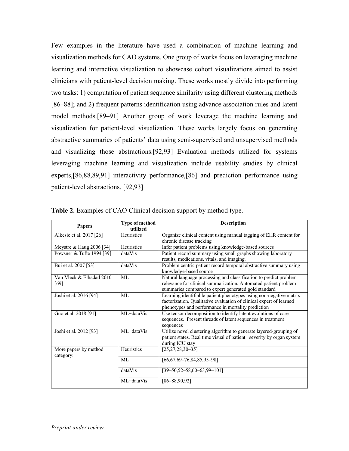Few examples in the literature have used a combination of machine learning and visualization methods for CAO systems. One group of works focus on leveraging machine learning and interactive visualization to showcase cohort visualizations aimed to assist clinicians with patient-level decision making. These works mostly divide into performing two tasks: 1) computation of patient sequence similarity using different clustering methods [86–88]; and 2) frequent patterns identification using advance association rules and latent model methods.[89–91] Another group of work leverage the machine learning and visualization for patient-level visualization. These works largely focus on generating abstractive summaries of patients' data using semi-supervised and unsupervised methods and visualizing those abstractions.[92,93] Evaluation methods utilized for systems leveraging machine learning and visualization include usability studies by clinical experts,[86,88,89,91] interactivity performance,[86] and prediction performance using patient-level abstractions. [92,93]

| <b>Papers</b>                      | Type of method<br>utilized | <b>Description</b>                                                                                                                                                                              |
|------------------------------------|----------------------------|-------------------------------------------------------------------------------------------------------------------------------------------------------------------------------------------------|
| Alkesic et al. 2017 [26]           | Heuristics                 | Organize clinical content using manual tagging of EHR content for<br>chronic disease tracking                                                                                                   |
| Meystre & Haug 2006 [34]           | Heuristics                 | Infer patient problems using knowledge-based sources                                                                                                                                            |
| Powsner & Tufte 1994 [39]          | dataVis                    | Patient record summary using small graphs showing laboratory<br>results, medications, vitals, and imaging.                                                                                      |
| Bui et al. 2007 [53]               | dataVis                    | Problem centric patient record temporal abstractive summary using<br>knowledge-based source                                                                                                     |
| Van Vleck & Elhadad 2010<br>[69]   | MI.                        | Natural language processing and classification to predict problem<br>relevance for clinical summarization. Automated patient problem<br>summaries compared to expert generated gold standard    |
| Joshi et al. 2016 [94]             | MI                         | Learning identifiable patient phenotypes using non-negative matrix<br>factorization. Qualitative evaluation of clinical expert of learned<br>phenotypes and performance in mortality prediction |
| Guo et al. 2018 [91]               | ML+dataVis                 | Use tensor decomposition to identify latent evolutions of care<br>sequences. Present threads of latent sequences in treatment<br>sequences                                                      |
| Joshi et al. 2012 [93]             | ML+dataVis                 | Utilize novel clustering algorithm to generate layered-grouping of<br>patient states. Real time visual of patient severity by organ system<br>during ICU stay                                   |
| More papers by method<br>category: | Heuristics                 | $[25, 27, 28, 30 - 35]$                                                                                                                                                                         |
|                                    | MI.                        | $[66,67,69-76,84,85,95-98]$                                                                                                                                                                     |
|                                    | dataVis                    | $[39 - 50.52 - 58.60 - 63.99 - 101]$                                                                                                                                                            |
|                                    | ML+dataVis                 | $[86 - 88, 90, 92]$                                                                                                                                                                             |

**Table 2.** Examples of CAO Clinical decision support by method type.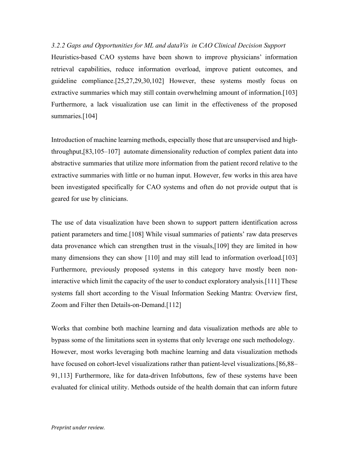*3.2.2 Gaps and Opportunities for ML and dataVis in CAO Clinical Decision Support* Heuristics-based CAO systems have been shown to improve physicians' information retrieval capabilities, reduce information overload, improve patient outcomes, and guideline compliance.[25,27,29,30,102] However, these systems mostly focus on extractive summaries which may still contain overwhelming amount of information.[103] Furthermore, a lack visualization use can limit in the effectiveness of the proposed summaries.<sup>[104]</sup>

Introduction of machine learning methods, especially those that are unsupervised and highthroughput,[83,105–107] automate dimensionality reduction of complex patient data into abstractive summaries that utilize more information from the patient record relative to the extractive summaries with little or no human input. However, few works in this area have been investigated specifically for CAO systems and often do not provide output that is geared for use by clinicians.

The use of data visualization have been shown to support pattern identification across patient parameters and time.[108] While visual summaries of patients' raw data preserves data provenance which can strengthen trust in the visuals,[109] they are limited in how many dimensions they can show [110] and may still lead to information overload.[103] Furthermore, previously proposed systems in this category have mostly been noninteractive which limit the capacity of the user to conduct exploratory analysis.[111] These systems fall short according to the Visual Information Seeking Mantra: Overview first, Zoom and Filter then Details-on-Demand.[112]

Works that combine both machine learning and data visualization methods are able to bypass some of the limitations seen in systems that only leverage one such methodology. However, most works leveraging both machine learning and data visualization methods have focused on cohort-level visualizations rather than patient-level visualizations.[86,88– 91,113] Furthermore, like for data-driven Infobuttons, few of these systems have been evaluated for clinical utility. Methods outside of the health domain that can inform future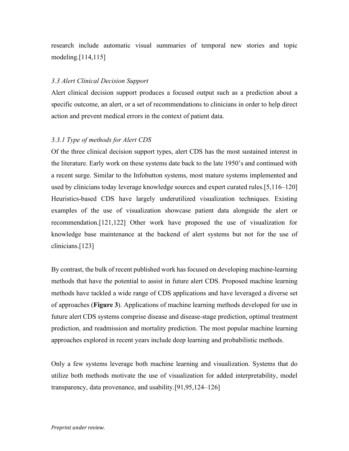research include automatic visual summaries of temporal new stories and topic modeling.[114,115]

## *3.3 Alert Clinical Decision Support*

Alert clinical decision support produces a focused output such as a prediction about a specific outcome, an alert, or a set of recommendations to clinicians in order to help direct action and prevent medical errors in the context of patient data.

## *3.3.1 Type of methods for Alert CDS*

Of the three clinical decision support types, alert CDS has the most sustained interest in the literature. Early work on these systems date back to the late 1950's and continued with a recent surge. Similar to the Infobutton systems, most mature systems implemented and used by clinicians today leverage knowledge sources and expert curated rules.[5,116–120] Heuristics-based CDS have largely underutilized visualization techniques. Existing examples of the use of visualization showcase patient data alongside the alert or recommendation.[121,122] Other work have proposed the use of visualization for knowledge base maintenance at the backend of alert systems but not for the use of clinicians.[123]

By contrast, the bulk of recent published work has focused on developing machine-learning methods that have the potential to assist in future alert CDS. Proposed machine learning methods have tackled a wide range of CDS applications and have leveraged a diverse set of approaches (**Figure 3**). Applications of machine learning methods developed for use in future alert CDS systems comprise disease and disease-stage prediction, optimal treatment prediction, and readmission and mortality prediction. The most popular machine learning approaches explored in recent years include deep learning and probabilistic methods.

Only a few systems leverage both machine learning and visualization. Systems that do utilize both methods motivate the use of visualization for added interpretability, model transparency, data provenance, and usability.[91,95,124–126]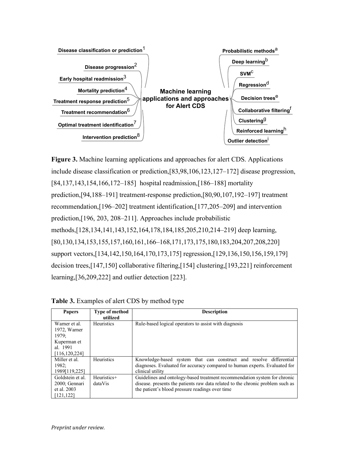

**Figure 3.** Machine learning applications and approaches for alert CDS. Applications include disease classification or prediction,[83,98,106,123,127–172] disease progression, [84,137,143,154,166,172–185] hospital readmission,[186–188] mortality prediction,[94,188–191] treatment-response prediction,[80,90,107,192–197] treatment recommendation,[196–202] treatment identification,[177,205–209] and intervention prediction,[196, 203, 208–211]. Approaches include probabilistic methods,[128,134,141,143,152,164,178,184,185,205,210,214–219] deep learning, [80,130,134,153,155,157,160,161,166–168,171,173,175,180,183,204,207,208,220] support vectors,[134,142,150,164,170,173,175] regression,[129,136,150,156,159,179] decision trees,[147,150] collaborative filtering,[154] clustering,[193,221] reinforcement learning,[36,209,222] and outlier detection [223].

| <b>Papers</b>                                                  | <b>Type of method</b><br>utilized | <b>Description</b>                                                                                                                                                                                             |
|----------------------------------------------------------------|-----------------------------------|----------------------------------------------------------------------------------------------------------------------------------------------------------------------------------------------------------------|
| Warner et al.<br>1972, Warner<br>1979;                         | <b>Heuristics</b>                 | Rule-based logical operators to assist with diagnosis                                                                                                                                                          |
| Kuperman et<br>al. 1991<br>[116, 120, 224]                     |                                   |                                                                                                                                                                                                                |
| Miller et al.<br>1982:<br>1989[119,225]                        | Heuristics                        | Knowledge-based system that can construct and resolve differential<br>diagnoses. Evaluated for accuracy compared to human experts. Evaluated for<br>clinical utility                                           |
| Goldstein et al.<br>2000; Gennari<br>et al. 2003<br>[121, 122] | Heuristics+<br>dataVis            | Guidelines and ontology-based treatment recommendation system for chronic<br>disease, presents the patients raw data related to the chronic problem such as<br>the patient's blood pressure readings over time |

**Table 3.** Examples of alert CDS by method type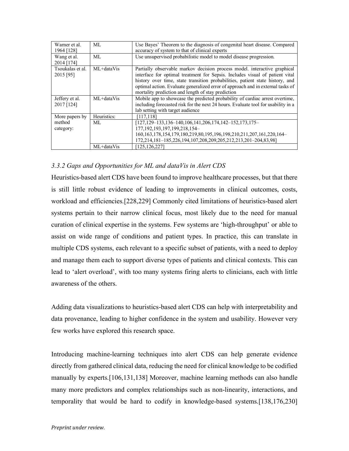| Warner et al.    | ML.         | Use Bayes' Theorem to the diagnosis of congenital heart disease. Compared          |
|------------------|-------------|------------------------------------------------------------------------------------|
| 1964 [128]       |             | accuracy of system to that of clinical experts                                     |
| Wang et al.      | ML          | Use unsupervised probabilistic model to model disease progression.                 |
| 2014 [174]       |             |                                                                                    |
| Tsoukalas et al. | ML+dataVis  | Partially observable markov decision process model. interactive graphical          |
| 2015 [95]        |             | interface for optimal treatment for Sepsis. Includes visual of patient vital       |
|                  |             | history over time, state transition probabilities, patient state history, and      |
|                  |             | optimal action. Evaluate generalized error of approach and in external tasks of    |
|                  |             | mortality prediction and length of stay prediction                                 |
| Jeffery et al.   | ML+dataVis  | Mobile app to showcase the predicted probability of cardiac arrest overtime,       |
| 2017 [124]       |             | including forecasted risk for the next 24 hours. Evaluate tool for usability in a  |
|                  |             | lab setting with target audience                                                   |
| More papers by   | Heuristics: | [117.118]                                                                          |
| method           | ML.         | $[127, 129 - 133, 136 - 140, 106, 141, 206, 174, 142 - 152, 173, 175 -$            |
| category:        |             | 177, 192, 193, 197, 199, 218, 154-                                                 |
|                  |             | 160, 163, 178, 154, 179, 180, 219, 80, 195, 196, 198, 210, 211, 207, 161, 220, 164 |
|                  |             | 172,214,181-185,226,194,107,208,209,205,212,213,201-204,83,98]                     |
|                  | ML+dataVis  | 125, 126, 227                                                                      |

# *3.3.2 Gaps and Opportunities for ML and dataVis in Alert CDS*

Heuristics-based alert CDS have been found to improve healthcare processes, but that there is still little robust evidence of leading to improvements in clinical outcomes, costs, workload and efficiencies.[228,229] Commonly cited limitations of heuristics-based alert systems pertain to their narrow clinical focus, most likely due to the need for manual curation of clinical expertise in the systems. Few systems are 'high-throughput' or able to assist on wide range of conditions and patient types. In practice, this can translate in multiple CDS systems, each relevant to a specific subset of patients, with a need to deploy and manage them each to support diverse types of patients and clinical contexts. This can lead to 'alert overload', with too many systems firing alerts to clinicians, each with little awareness of the others.

Adding data visualizations to heuristics-based alert CDS can help with interpretability and data provenance, leading to higher confidence in the system and usability. However very few works have explored this research space.

Introducing machine-learning techniques into alert CDS can help generate evidence directly from gathered clinical data, reducing the need for clinical knowledge to be codified manually by experts.[106,131,138] Moreover, machine learning methods can also handle many more predictors and complex relationships such as non-linearity, interactions, and temporality that would be hard to codify in knowledge-based systems.[138,176,230]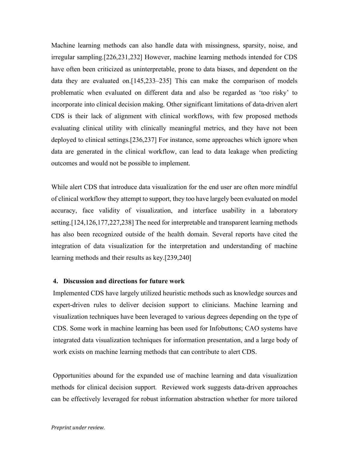Machine learning methods can also handle data with missingness, sparsity, noise, and irregular sampling.[226,231,232] However, machine learning methods intended for CDS have often been criticized as uninterpretable, prone to data biases, and dependent on the data they are evaluated on.[145,233–235] This can make the comparison of models problematic when evaluated on different data and also be regarded as 'too risky' to incorporate into clinical decision making. Other significant limitations of data-driven alert CDS is their lack of alignment with clinical workflows, with few proposed methods evaluating clinical utility with clinically meaningful metrics, and they have not been deployed to clinical settings.[236,237] For instance, some approaches which ignore when data are generated in the clinical workflow, can lead to data leakage when predicting outcomes and would not be possible to implement.

While alert CDS that introduce data visualization for the end user are often more mindful of clinical workflow they attempt to support, they too have largely been evaluated on model accuracy, face validity of visualization, and interface usability in a laboratory setting.[124,126,177,227,238] The need for interpretable and transparent learning methods has also been recognized outside of the health domain. Several reports have cited the integration of data visualization for the interpretation and understanding of machine learning methods and their results as key.[239,240]

### **4. Discussion and directions for future work**

Implemented CDS have largely utilized heuristic methods such as knowledge sources and expert-driven rules to deliver decision support to clinicians. Machine learning and visualization techniques have been leveraged to various degrees depending on the type of CDS. Some work in machine learning has been used for Infobuttons; CAO systems have integrated data visualization techniques for information presentation, and a large body of work exists on machine learning methods that can contribute to alert CDS.

Opportunities abound for the expanded use of machine learning and data visualization methods for clinical decision support. Reviewed work suggests data-driven approaches can be effectively leveraged for robust information abstraction whether for more tailored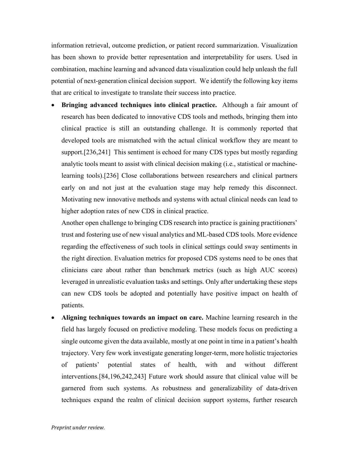information retrieval, outcome prediction, or patient record summarization. Visualization has been shown to provide better representation and interpretability for users. Used in combination, machine learning and advanced data visualization could help unleash the full potential of next-generation clinical decision support. We identify the following key items that are critical to investigate to translate their success into practice.

• **Bringing advanced techniques into clinical practice.** Although a fair amount of research has been dedicated to innovative CDS tools and methods, bringing them into clinical practice is still an outstanding challenge. It is commonly reported that developed tools are mismatched with the actual clinical workflow they are meant to support.[236,241] This sentiment is echoed for many CDS types but mostly regarding analytic tools meant to assist with clinical decision making (i.e., statistical or machinelearning tools).[236] Close collaborations between researchers and clinical partners early on and not just at the evaluation stage may help remedy this disconnect. Motivating new innovative methods and systems with actual clinical needs can lead to higher adoption rates of new CDS in clinical practice.

Another open challenge to bringing CDS research into practice is gaining practitioners' trust and fostering use of new visual analytics and ML-based CDS tools. More evidence regarding the effectiveness of such tools in clinical settings could sway sentiments in the right direction. Evaluation metrics for proposed CDS systems need to be ones that clinicians care about rather than benchmark metrics (such as high AUC scores) leveraged in unrealistic evaluation tasks and settings. Only after undertaking these steps can new CDS tools be adopted and potentially have positive impact on health of patients.

• **Aligning techniques towards an impact on care.** Machine learning research in the field has largely focused on predictive modeling. These models focus on predicting a single outcome given the data available, mostly at one point in time in a patient's health trajectory. Very few work investigate generating longer-term, more holistic trajectories of patients' potential states of health, with and without different interventions.[84,196,242,243] Future work should assure that clinical value will be garnered from such systems. As robustness and generalizability of data-driven techniques expand the realm of clinical decision support systems, further research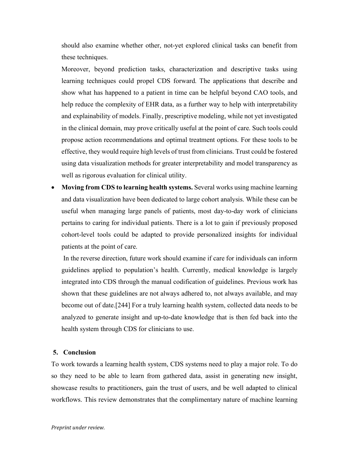should also examine whether other, not-yet explored clinical tasks can benefit from these techniques.

Moreover, beyond prediction tasks, characterization and descriptive tasks using learning techniques could propel CDS forward. The applications that describe and show what has happened to a patient in time can be helpful beyond CAO tools, and help reduce the complexity of EHR data, as a further way to help with interpretability and explainability of models. Finally, prescriptive modeling, while not yet investigated in the clinical domain, may prove critically useful at the point of care. Such tools could propose action recommendations and optimal treatment options. For these tools to be effective, they would require high levels of trust from clinicians. Trust could be fostered using data visualization methods for greater interpretability and model transparency as well as rigorous evaluation for clinical utility.

• **Moving from CDS to learning health systems.** Several works using machine learning and data visualization have been dedicated to large cohort analysis. While these can be useful when managing large panels of patients, most day-to-day work of clinicians pertains to caring for individual patients. There is a lot to gain if previously proposed cohort-level tools could be adapted to provide personalized insights for individual patients at the point of care.

In the reverse direction, future work should examine if care for individuals can inform guidelines applied to population's health. Currently, medical knowledge is largely integrated into CDS through the manual codification of guidelines. Previous work has shown that these guidelines are not always adhered to, not always available, and may become out of date.[244] For a truly learning health system, collected data needs to be analyzed to generate insight and up-to-date knowledge that is then fed back into the health system through CDS for clinicians to use.

### **5. Conclusion**

To work towards a learning health system, CDS systems need to play a major role. To do so they need to be able to learn from gathered data, assist in generating new insight, showcase results to practitioners, gain the trust of users, and be well adapted to clinical workflows. This review demonstrates that the complimentary nature of machine learning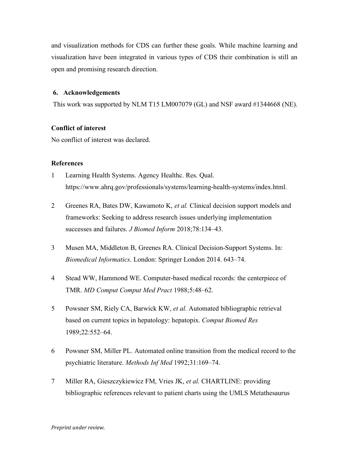and visualization methods for CDS can further these goals. While machine learning and visualization have been integrated in various types of CDS their combination is still an open and promising research direction.

#### **6. Acknowledgements**

This work was supported by NLM T15 LM007079 (GL) and NSF award #1344668 (NE).

### **Conflict of interest**

No conflict of interest was declared.

### **References**

- 1 Learning Health Systems. Agency Healthc. Res. Qual. https://www.ahrq.gov/professionals/systems/learning-health-systems/index.html.
- 2 Greenes RA, Bates DW, Kawamoto K, *et al.* Clinical decision support models and frameworks: Seeking to address research issues underlying implementation successes and failures. *J Biomed Inform* 2018;78:134–43.
- 3 Musen MA, Middleton B, Greenes RA. Clinical Decision-Support Systems. In: *Biomedical Informatics*. London: Springer London 2014. 643–74.
- 4 Stead WW, Hammond WE. Computer-based medical records: the centerpiece of TMR. *MD Comput Comput Med Pract* 1988;5:48–62.
- 5 Powsner SM, Riely CA, Barwick KW, *et al.* Automated bibliographic retrieval based on current topics in hepatology: hepatopix. *Comput Biomed Res* 1989;22:552–64.
- 6 Powsner SM, Miller PL. Automated online transition from the medical record to the psychiatric literature. *Methods Inf Med* 1992;31:169–74.
- 7 Miller RA, Gieszczykiewicz FM, Vries JK, *et al.* CHARTLINE: providing bibliographic references relevant to patient charts using the UMLS Metathesaurus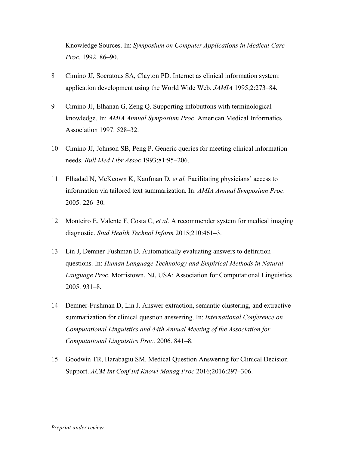Knowledge Sources. In: *Symposium on Computer Applications in Medical Care Proc*. 1992. 86–90.

- 8 Cimino JJ, Socratous SA, Clayton PD. Internet as clinical information system: application development using the World Wide Web. *JAMIA* 1995;2:273–84.
- 9 Cimino JJ, Elhanan G, Zeng Q. Supporting infobuttons with terminological knowledge. In: *AMIA Annual Symposium Proc*. American Medical Informatics Association 1997. 528–32.
- 10 Cimino JJ, Johnson SB, Peng P. Generic queries for meeting clinical information needs. *Bull Med Libr Assoc* 1993;81:95–206.
- 11 Elhadad N, McKeown K, Kaufman D, *et al.* Facilitating physicians' access to information via tailored text summarization. In: *AMIA Annual Symposium Proc*. 2005. 226–30.
- 12 Monteiro E, Valente F, Costa C, *et al.* A recommender system for medical imaging diagnostic. *Stud Health Technol Inform* 2015;210:461–3.
- 13 Lin J, Demner-Fushman D. Automatically evaluating answers to definition questions. In: *Human Language Technology and Empirical Methods in Natural Language Proc*. Morristown, NJ, USA: Association for Computational Linguistics 2005. 931–8.
- 14 Demner-Fushman D, Lin J. Answer extraction, semantic clustering, and extractive summarization for clinical question answering. In: *International Conference on Computational Linguistics and 44th Annual Meeting of the Association for Computational Linguistics Proc*. 2006. 841–8.
- 15 Goodwin TR, Harabagiu SM. Medical Question Answering for Clinical Decision Support. *ACM Int Conf Inf Knowl Manag Proc* 2016;2016:297–306.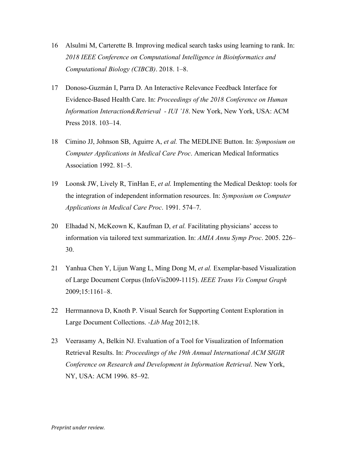- 16 Alsulmi M, Carterette B. Improving medical search tasks using learning to rank. In: *2018 IEEE Conference on Computational Intelligence in Bioinformatics and Computational Biology (CIBCB)*. 2018. 1–8.
- 17 Donoso-Guzmán I, Parra D. An Interactive Relevance Feedback Interface for Evidence-Based Health Care. In: *Proceedings of the 2018 Conference on Human Information Interaction&Retrieval - IUI '18*. New York, New York, USA: ACM Press 2018. 103–14.
- 18 Cimino JJ, Johnson SB, Aguirre A, *et al.* The MEDLINE Button. In: *Symposium on Computer Applications in Medical Care Proc*. American Medical Informatics Association 1992. 81–5.
- 19 Loonsk JW, Lively R, TinHan E, *et al.* Implementing the Medical Desktop: tools for the integration of independent information resources. In: *Symposium on Computer Applications in Medical Care Proc*. 1991. 574–7.
- 20 Elhadad N, McKeown K, Kaufman D, *et al.* Facilitating physicians' access to information via tailored text summarization. In: *AMIA Annu Symp Proc*. 2005. 226– 30.
- 21 Yanhua Chen Y, Lijun Wang L, Ming Dong M, *et al.* Exemplar-based Visualization of Large Document Corpus (InfoVis2009-1115). *IEEE Trans Vis Comput Graph* 2009;15:1161–8.
- 22 Herrmannova D, Knoth P. Visual Search for Supporting Content Exploration in Large Document Collections. *-Lib Mag* 2012;18.
- 23 Veerasamy A, Belkin NJ. Evaluation of a Tool for Visualization of Information Retrieval Results. In: *Proceedings of the 19th Annual International ACM SIGIR Conference on Research and Development in Information Retrieval*. New York, NY, USA: ACM 1996. 85–92.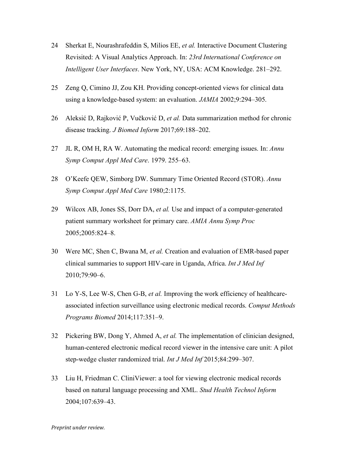- 24 Sherkat E, Nourashrafeddin S, Milios EE, *et al.* Interactive Document Clustering Revisited: A Visual Analytics Approach. In: *23rd International Conference on Intelligent User Interfaces*. New York, NY, USA: ACM Knowledge. 281–292.
- 25 Zeng Q, Cimino JJ, Zou KH. Providing concept-oriented views for clinical data using a knowledge-based system: an evaluation. *JAMIA* 2002;9:294–305.
- 26 Aleksić D, Rajković P, Vučković D, *et al.* Data summarization method for chronic disease tracking. *J Biomed Inform* 2017;69:188–202.
- 27 JL R, OM H, RA W. Automating the medical record: emerging issues. In: *Annu Symp Comput Appl Med Care*. 1979. 255–63.
- 28 O'Keefe QEW, Simborg DW. Summary Time Oriented Record (STOR). *Annu Symp Comput Appl Med Care* 1980;2:1175.
- 29 Wilcox AB, Jones SS, Dorr DA, *et al.* Use and impact of a computer-generated patient summary worksheet for primary care. *AMIA Annu Symp Proc* 2005;2005:824–8.
- 30 Were MC, Shen C, Bwana M, *et al.* Creation and evaluation of EMR-based paper clinical summaries to support HIV-care in Uganda, Africa. *Int J Med Inf* 2010;79:90–6.
- 31 Lo Y-S, Lee W-S, Chen G-B, *et al.* Improving the work efficiency of healthcareassociated infection surveillance using electronic medical records. *Comput Methods Programs Biomed* 2014;117:351–9.
- 32 Pickering BW, Dong Y, Ahmed A, *et al.* The implementation of clinician designed, human-centered electronic medical record viewer in the intensive care unit: A pilot step-wedge cluster randomized trial. *Int J Med Inf* 2015;84:299–307.
- 33 Liu H, Friedman C. CliniViewer: a tool for viewing electronic medical records based on natural language processing and XML. *Stud Health Technol Inform* 2004;107:639–43.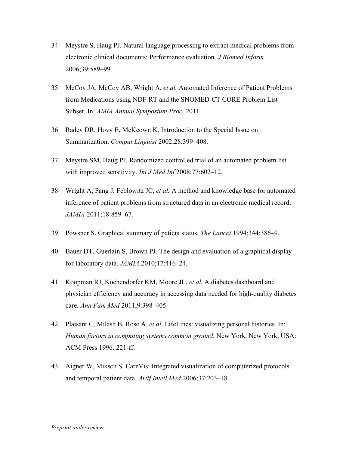- 34 Meystre S, Haug PJ. Natural language processing to extract medical problems from electronic clinical documents: Performance evaluation. *J Biomed Inform* 2006;39:589–99.
- 35 McCoy JA, McCoy AB, Wright A, *et al.* Automated Inference of Patient Problems from Medications using NDF-RT and the SNOMED-CT CORE Problem List Subset. In: *AMIA Annual Symposium Proc*. 2011.
- 36 Radev DR, Hovy E, McKeown K. Introduction to the Special Issue on Summarization. *Comput Linguist* 2002;28:399–408.
- 37 Meystre SM, Haug PJ. Randomized controlled trial of an automated problem list with improved sensitivity. *Int J Med Inf* 2008;77:602–12.
- 38 Wright A, Pang J, Feblowitz JC, *et al.* A method and knowledge base for automated inference of patient problems from structured data in an electronic medical record. *JAMIA* 2011;18:859–67.
- 39 Powsner S. Graphical summary of patient status. *The Lancet* 1994;344:386–9.
- 40 Bauer DT, Guerlain S, Brown PJ. The design and evaluation of a graphical display for laboratory data. *JAMIA* 2010;17:416–24.
- 41 Koopman RJ, Kochendorfer KM, Moore JL, *et al.* A diabetes dashboard and physician efficiency and accuracy in accessing data needed for high-quality diabetes care. *Ann Fam Med* 2011;9:398–405.
- 42 Plaisant C, Milash B, Rose A, *et al.* LifeLines: visualizing personal histories. In: *Human factors in computing systems common ground*. New York, New York, USA: ACM Press 1996. 221-ff.
- 43 Aigner W, Miksch S. CareVis: Integrated visualization of computerized protocols and temporal patient data. *Artif Intell Med* 2006;37:203–18.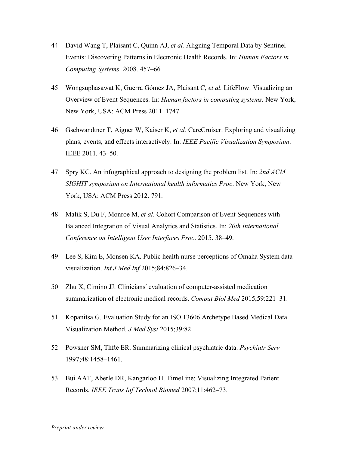- 44 David Wang T, Plaisant C, Quinn AJ, *et al.* Aligning Temporal Data by Sentinel Events: Discovering Patterns in Electronic Health Records. In: *Human Factors in Computing Systems*. 2008. 457–66.
- 45 Wongsuphasawat K, Guerra Gómez JA, Plaisant C, *et al.* LifeFlow: Visualizing an Overview of Event Sequences. In: *Human factors in computing systems*. New York, New York, USA: ACM Press 2011. 1747.
- 46 Gschwandtner T, Aigner W, Kaiser K, *et al.* CareCruiser: Exploring and visualizing plans, events, and effects interactively. In: *IEEE Pacific Visualization Symposium*. IEEE 2011. 43–50.
- 47 Spry KC. An infographical approach to designing the problem list. In: *2nd ACM SIGHIT symposium on International health informatics Proc*. New York, New York, USA: ACM Press 2012. 791.
- 48 Malik S, Du F, Monroe M, *et al.* Cohort Comparison of Event Sequences with Balanced Integration of Visual Analytics and Statistics. In: *20th International Conference on Intelligent User Interfaces Proc*. 2015. 38–49.
- 49 Lee S, Kim E, Monsen KA. Public health nurse perceptions of Omaha System data visualization. *Int J Med Inf* 2015;84:826–34.
- 50 Zhu X, Cimino JJ. Clinicians′ evaluation of computer-assisted medication summarization of electronic medical records. *Comput Biol Med* 2015;59:221–31.
- 51 Kopanitsa G. Evaluation Study for an ISO 13606 Archetype Based Medical Data Visualization Method. *J Med Syst* 2015;39:82.
- 52 Powsner SM, Thfte ER. Summarizing clinical psychiatric data. *Psychiatr Serv* 1997;48:1458–1461.
- 53 Bui AAT, Aberle DR, Kangarloo H. TimeLine: Visualizing Integrated Patient Records. *IEEE Trans Inf Technol Biomed* 2007;11:462–73.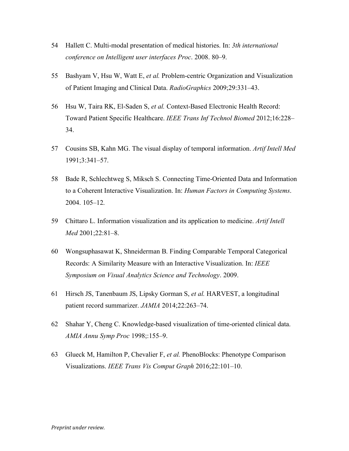- 54 Hallett C. Multi-modal presentation of medical histories. In: *3th international conference on Intelligent user interfaces Proc*. 2008. 80–9.
- 55 Bashyam V, Hsu W, Watt E, *et al.* Problem-centric Organization and Visualization of Patient Imaging and Clinical Data. *RadioGraphics* 2009;29:331–43.
- 56 Hsu W, Taira RK, El-Saden S, *et al.* Context-Based Electronic Health Record: Toward Patient Specific Healthcare. *IEEE Trans Inf Technol Biomed* 2012;16:228– 34.
- 57 Cousins SB, Kahn MG. The visual display of temporal information. *Artif Intell Med* 1991;3:341–57.
- 58 Bade R, Schlechtweg S, Miksch S. Connecting Time-Oriented Data and Information to a Coherent Interactive Visualization. In: *Human Factors in Computing Systems*. 2004. 105–12.
- 59 Chittaro L. Information visualization and its application to medicine. *Artif Intell Med* 2001;22:81–8.
- 60 Wongsuphasawat K, Shneiderman B. Finding Comparable Temporal Categorical Records: A Similarity Measure with an Interactive Visualization. In: *IEEE Symposium on Visual Analytics Science and Technology*. 2009.
- 61 Hirsch JS, Tanenbaum JS, Lipsky Gorman S, *et al.* HARVEST, a longitudinal patient record summarizer. *JAMIA* 2014;22:263–74.
- 62 Shahar Y, Cheng C. Knowledge-based visualization of time-oriented clinical data. *AMIA Annu Symp Proc* 1998;:155–9.
- 63 Glueck M, Hamilton P, Chevalier F, *et al.* PhenoBlocks: Phenotype Comparison Visualizations. *IEEE Trans Vis Comput Graph* 2016;22:101–10.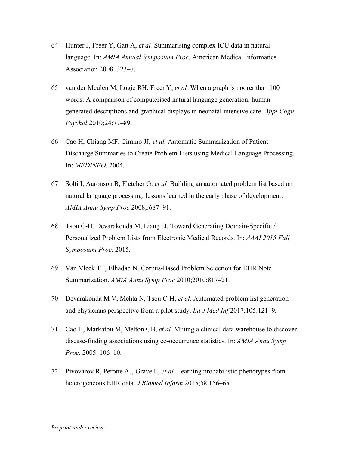- 64 Hunter J, Freer Y, Gatt A, *et al.* Summarising complex ICU data in natural language. In: *AMIA Annual Symposium Proc*. American Medical Informatics Association 2008. 323–7.
- 65 van der Meulen M, Logie RH, Freer Y, *et al.* When a graph is poorer than 100 words: A comparison of computerised natural language generation, human generated descriptions and graphical displays in neonatal intensive care. *Appl Cogn Psychol* 2010;24:77–89.
- 66 Cao H, Chiang MF, Cimino JJ, *et al.* Automatic Summarization of Patient Discharge Summaries to Create Problem Lists using Medical Language Processing. In: *MEDINFO*. 2004.
- 67 Solti I, Aaronson B, Fletcher G, *et al.* Building an automated problem list based on natural language processing: lessons learned in the early phase of development. *AMIA Annu Symp Proc* 2008;:687–91.
- 68 Tsou C-H, Devarakonda M, Liang JJ. Toward Generating Domain-Specific / Personalized Problem Lists from Electronic Medical Records. In: *AAAI 2015 Fall Symposium Proc*. 2015.
- 69 Van Vleck TT, Elhadad N. Corpus-Based Problem Selection for EHR Note Summarization. *AMIA Annu Symp Proc* 2010;2010:817–21.
- 70 Devarakonda M V, Mehta N, Tsou C-H, *et al.* Automated problem list generation and physicians perspective from a pilot study. *Int J Med Inf* 2017;105:121–9.
- 71 Cao H, Markatou M, Melton GB, *et al.* Mining a clinical data warehouse to discover disease-finding associations using co-occurrence statistics. In: *AMIA Annu Symp Proc*. 2005. 106–10.
- 72 Pivovarov R, Perotte AJ, Grave E, *et al.* Learning probabilistic phenotypes from heterogeneous EHR data. *J Biomed Inform* 2015;58:156–65.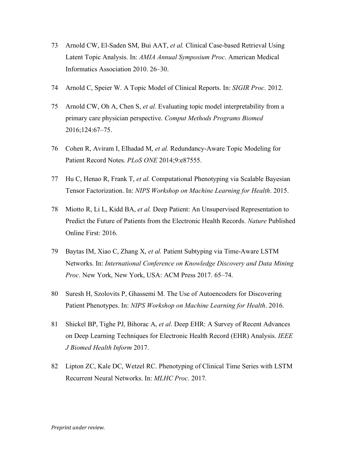- 73 Arnold CW, El-Saden SM, Bui AAT, *et al.* Clinical Case-based Retrieval Using Latent Topic Analysis. In: *AMIA Annual Symposium Proc*. American Medical Informatics Association 2010. 26–30.
- 74 Arnold C, Speier W. A Topic Model of Clinical Reports. In: *SIGIR Proc*. 2012.
- 75 Arnold CW, Oh A, Chen S, *et al.* Evaluating topic model interpretability from a primary care physician perspective. *Comput Methods Programs Biomed* 2016;124:67–75.
- 76 Cohen R, Aviram I, Elhadad M, *et al.* Redundancy-Aware Topic Modeling for Patient Record Notes. *PLoS ONE* 2014;9:e87555.
- 77 Hu C, Henao R, Frank T, *et al.* Computational Phenotyping via Scalable Bayesian Tensor Factorization. In: *NIPS Workshop on Machine Learning for Health*. 2015.
- 78 Miotto R, Li L, Kidd BA, *et al.* Deep Patient: An Unsupervised Representation to Predict the Future of Patients from the Electronic Health Records. *Nature* Published Online First: 2016.
- 79 Baytas IM, Xiao C, Zhang X, *et al.* Patient Subtyping via Time-Aware LSTM Networks. In: *International Conference on Knowledge Discovery and Data Mining Proc*. New York, New York, USA: ACM Press 2017. 65–74.
- 80 Suresh H, Szolovits P, Ghassemi M. The Use of Autoencoders for Discovering Patient Phenotypes. In: *NIPS Workshop on Machine Learning for Health*. 2016.
- 81 Shickel BP, Tighe PJ, Bihorac A, *et al.* Deep EHR: A Survey of Recent Advances on Deep Learning Techniques for Electronic Health Record (EHR) Analysis. *IEEE J Biomed Health Inform* 2017.
- 82 Lipton ZC, Kale DC, Wetzel RC. Phenotyping of Clinical Time Series with LSTM Recurrent Neural Networks. In: *MLHC Proc*. 2017.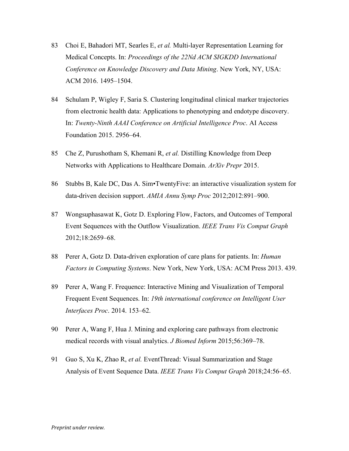- 83 Choi E, Bahadori MT, Searles E, *et al.* Multi-layer Representation Learning for Medical Concepts. In: *Proceedings of the 22Nd ACM SIGKDD International Conference on Knowledge Discovery and Data Mining*. New York, NY, USA: ACM 2016. 1495–1504.
- 84 Schulam P, Wigley F, Saria S. Clustering longitudinal clinical marker trajectories from electronic health data: Applications to phenotyping and endotype discovery. In: *Twenty-Ninth AAAI Conference on Artificial Intelligence Proc*. AI Access Foundation 2015. 2956–64.
- 85 Che Z, Purushotham S, Khemani R, *et al.* Distilling Knowledge from Deep Networks with Applications to Healthcare Domain. *ArXiv Prepr* 2015.
- 86 Stubbs B, Kale DC, Das A. Sim•TwentyFive: an interactive visualization system for data-driven decision support. *AMIA Annu Symp Proc* 2012;2012:891–900.
- 87 Wongsuphasawat K, Gotz D. Exploring Flow, Factors, and Outcomes of Temporal Event Sequences with the Outflow Visualization. *IEEE Trans Vis Comput Graph* 2012;18:2659–68.
- 88 Perer A, Gotz D. Data-driven exploration of care plans for patients. In: *Human Factors in Computing Systems*. New York, New York, USA: ACM Press 2013. 439.
- 89 Perer A, Wang F. Frequence: Interactive Mining and Visualization of Temporal Frequent Event Sequences. In: *19th international conference on Intelligent User Interfaces Proc*. 2014. 153–62.
- 90 Perer A, Wang F, Hua J. Mining and exploring care pathways from electronic medical records with visual analytics. *J Biomed Inform* 2015;56:369–78.
- 91 Guo S, Xu K, Zhao R, *et al.* EventThread: Visual Summarization and Stage Analysis of Event Sequence Data. *IEEE Trans Vis Comput Graph* 2018;24:56–65.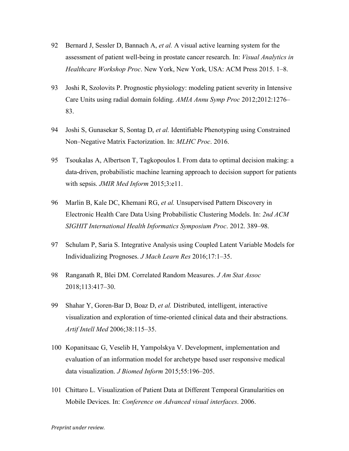- 92 Bernard J, Sessler D, Bannach A, *et al.* A visual active learning system for the assessment of patient well-being in prostate cancer research. In: *Visual Analytics in Healthcare Workshop Proc*. New York, New York, USA: ACM Press 2015. 1–8.
- 93 Joshi R, Szolovits P. Prognostic physiology: modeling patient severity in Intensive Care Units using radial domain folding. *AMIA Annu Symp Proc* 2012;2012:1276– 83.
- 94 Joshi S, Gunasekar S, Sontag D, *et al.* Identifiable Phenotyping using Constrained Non–Negative Matrix Factorization. In: *MLHC Proc*. 2016.
- 95 Tsoukalas A, Albertson T, Tagkopoulos I. From data to optimal decision making: a data-driven, probabilistic machine learning approach to decision support for patients with sepsis. *JMIR Med Inform* 2015;3:e11.
- 96 Marlin B, Kale DC, Khemani RG, *et al.* Unsupervised Pattern Discovery in Electronic Health Care Data Using Probabilistic Clustering Models. In: *2nd ACM SIGHIT International Health Informatics Symposium Proc*. 2012. 389–98.
- 97 Schulam P, Saria S. Integrative Analysis using Coupled Latent Variable Models for Individualizing Prognoses. *J Mach Learn Res* 2016;17:1–35.
- 98 Ranganath R, Blei DM. Correlated Random Measures. *J Am Stat Assoc* 2018;113:417–30.
- 99 Shahar Y, Goren-Bar D, Boaz D, *et al.* Distributed, intelligent, interactive visualization and exploration of time-oriented clinical data and their abstractions. *Artif Intell Med* 2006;38:115–35.
- 100 Kopanitsaac G, Veselib H, Yampolskya V. Development, implementation and evaluation of an information model for archetype based user responsive medical data visualization. *J Biomed Inform* 2015;55:196–205.
- 101 Chittaro L. Visualization of Patient Data at Different Temporal Granularities on Mobile Devices. In: *Conference on Advanced visual interfaces*. 2006.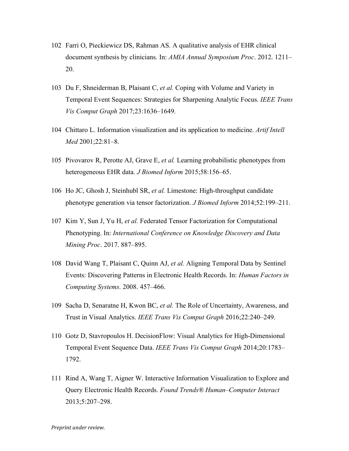- 102 Farri O, Pieckiewicz DS, Rahman AS. A qualitative analysis of EHR clinical document synthesis by clinicians. In: *AMIA Annual Symposium Proc*. 2012. 1211– 20.
- 103 Du F, Shneiderman B, Plaisant C, *et al.* Coping with Volume and Variety in Temporal Event Sequences: Strategies for Sharpening Analytic Focus. *IEEE Trans Vis Comput Graph* 2017;23:1636–1649.
- 104 Chittaro L. Information visualization and its application to medicine. *Artif Intell Med* 2001;22:81–8.
- 105 Pivovarov R, Perotte AJ, Grave E, *et al.* Learning probabilistic phenotypes from heterogeneous EHR data. *J Biomed Inform* 2015;58:156–65.
- 106 Ho JC, Ghosh J, Steinhubl SR, *et al.* Limestone: High-throughput candidate phenotype generation via tensor factorization. *J Biomed Inform* 2014;52:199–211.
- 107 Kim Y, Sun J, Yu H, *et al.* Federated Tensor Factorization for Computational Phenotyping. In: *International Conference on Knowledge Discovery and Data Mining Proc*. 2017. 887–895.
- 108 David Wang T, Plaisant C, Quinn AJ, *et al.* Aligning Temporal Data by Sentinel Events: Discovering Patterns in Electronic Health Records. In: *Human Factors in Computing Systems*. 2008. 457–466.
- 109 Sacha D, Senaratne H, Kwon BC, *et al.* The Role of Uncertainty, Awareness, and Trust in Visual Analytics. *IEEE Trans Vis Comput Graph* 2016;22:240–249.
- 110 Gotz D, Stavropoulos H. DecisionFlow: Visual Analytics for High-Dimensional Temporal Event Sequence Data. *IEEE Trans Vis Comput Graph* 2014;20:1783– 1792.
- 111 Rind A, Wang T, Aigner W. Interactive Information Visualization to Explore and Query Electronic Health Records. *Found Trends® Human–Computer Interact* 2013;5:207–298.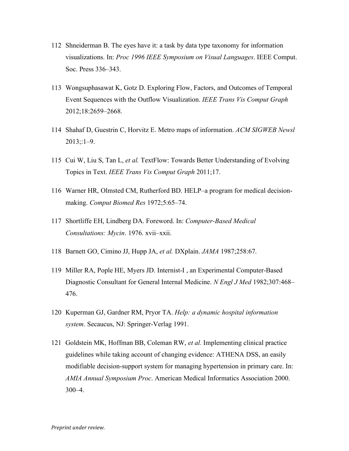- 112 Shneiderman B. The eyes have it: a task by data type taxonomy for information visualizations. In: *Proc 1996 IEEE Symposium on Visual Languages*. IEEE Comput. Soc. Press 336–343.
- 113 Wongsuphasawat K, Gotz D. Exploring Flow, Factors, and Outcomes of Temporal Event Sequences with the Outflow Visualization. *IEEE Trans Vis Comput Graph* 2012;18:2659–2668.
- 114 Shahaf D, Guestrin C, Horvitz E. Metro maps of information. *ACM SIGWEB Newsl*  $2013::1-9$ .
- 115 Cui W, Liu S, Tan L, *et al.* TextFlow: Towards Better Understanding of Evolving Topics in Text. *IEEE Trans Vis Comput Graph* 2011;17.
- 116 Warner HR, Olmsted CM, Rutherford BD. HELP–a program for medical decisionmaking. *Comput Biomed Res* 1972;5:65–74.
- 117 Shortliffe EH, Lindberg DA. Foreword. In: *Computer-Based Medical Consultations: Mycin*. 1976. xvii–xxii.
- 118 Barnett GO, Cimino JJ, Hupp JA, *et al.* DXplain. *JAMA* 1987;258:67.
- 119 Miller RA, Pople HE, Myers JD. Internist-I , an Experimental Computer-Based Diagnostic Consultant for General Internal Medicine. *N Engl J Med* 1982;307:468– 476.
- 120 Kuperman GJ, Gardner RM, Pryor TA. *Help: a dynamic hospital information system*. Secaucus, NJ: Springer-Verlag 1991.
- 121 Goldstein MK, Hoffman BB, Coleman RW, *et al.* Implementing clinical practice guidelines while taking account of changing evidence: ATHENA DSS, an easily modifiable decision-support system for managing hypertension in primary care. In: *AMIA Annual Symposium Proc*. American Medical Informatics Association 2000. 300–4.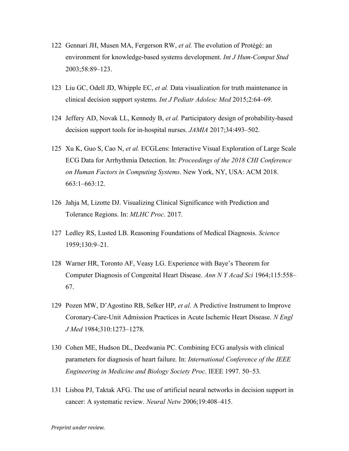- 122 Gennari JH, Musen MA, Fergerson RW, *et al.* The evolution of Protégé: an environment for knowledge-based systems development. *Int J Hum-Comput Stud* 2003;58:89–123.
- 123 Liu GC, Odell JD, Whipple EC, *et al.* Data visualization for truth maintenance in clinical decision support systems. *Int J Pediatr Adolesc Med* 2015;2:64–69.
- 124 Jeffery AD, Novak LL, Kennedy B, *et al.* Participatory design of probability-based decision support tools for in-hospital nurses. *JAMIA* 2017;34:493–502.
- 125 Xu K, Guo S, Cao N, *et al.* ECGLens: Interactive Visual Exploration of Large Scale ECG Data for Arrhythmia Detection. In: *Proceedings of the 2018 CHI Conference on Human Factors in Computing Systems*. New York, NY, USA: ACM 2018. 663:1–663:12.
- 126 Jahja M, Lizotte DJ. Visualizing Clinical Significance with Prediction and Tolerance Regions. In: *MLHC Proc*. 2017.
- 127 Ledley RS, Lusted LB. Reasoning Foundations of Medical Diagnosis. *Science* 1959;130:9–21.
- 128 Warner HR, Toronto AF, Veasy LG. Experience with Baye's Theorem for Computer Diagnosis of Congenital Heart Disease. *Ann N Y Acad Sci* 1964;115:558– 67.
- 129 Pozen MW, D'Agostino RB, Selker HP, *et al.* A Predictive Instrument to Improve Coronary-Care-Unit Admission Practices in Acute Ischemic Heart Disease. *N Engl J Med* 1984;310:1273–1278.
- 130 Cohen ME, Hudson DL, Deedwania PC. Combining ECG analysis with clinical parameters for diagnosis of heart failure. In: *International Conference of the IEEE Engineering in Medicine and Biology Society Proc*. IEEE 1997. 50–53.
- 131 Lisboa PJ, Taktak AFG. The use of artificial neural networks in decision support in cancer: A systematic review. *Neural Netw* 2006;19:408–415.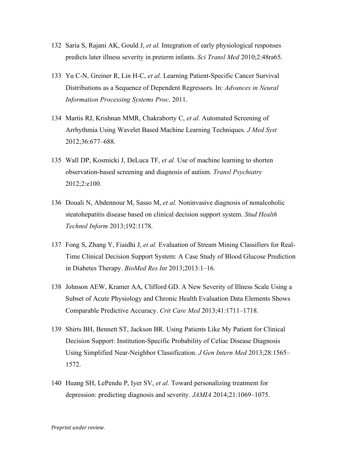- 132 Saria S, Rajani AK, Gould J, *et al.* Integration of early physiological responses predicts later illness severity in preterm infants. *Sci Transl Med* 2010;2:48ra65.
- 133 Yu C-N, Greiner R, Lin H-C, *et al.* Learning Patient-Specific Cancer Survival Distributions as a Sequence of Dependent Regressors. In: *Advances in Neural Information Processing Systems Proc*. 2011.
- 134 Martis RJ, Krishnan MMR, Chakraborty C, *et al.* Automated Screening of Arrhythmia Using Wavelet Based Machine Learning Techniques. *J Med Syst* 2012;36:677–688.
- 135 Wall DP, Kosmicki J, DeLuca TF, *et al.* Use of machine learning to shorten observation-based screening and diagnosis of autism. *Transl Psychiatry* 2012;2:e100.
- 136 Douali N, Abdennour M, Sasso M, *et al.* Noninvasive diagnosis of nonalcoholic steatohepatitis disease based on clinical decision support system. *Stud Health Technol Inform* 2013;192:1178.
- 137 Fong S, Zhang Y, Fiaidhi J, *et al.* Evaluation of Stream Mining Classifiers for Real-Time Clinical Decision Support System: A Case Study of Blood Glucose Prediction in Diabetes Therapy. *BioMed Res Int* 2013;2013:1–16.
- 138 Johnson AEW, Kramer AA, Clifford GD. A New Severity of Illness Scale Using a Subset of Acute Physiology and Chronic Health Evaluation Data Elements Shows Comparable Predictive Accuracy. *Crit Care Med* 2013;41:1711–1718.
- 139 Shirts BH, Bennett ST, Jackson BR. Using Patients Like My Patient for Clinical Decision Support: Institution-Specific Probability of Celiac Disease Diagnosis Using Simplified Near-Neighbor Classification. *J Gen Intern Med* 2013;28:1565– 1572.
- 140 Huang SH, LePendu P, Iyer SV, *et al.* Toward personalizing treatment for depression: predicting diagnosis and severity. *JAMIA* 2014;21:1069–1075.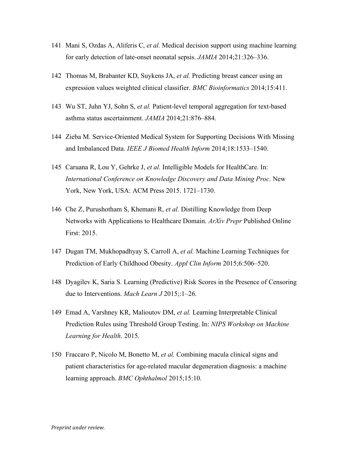- 141 Mani S, Ozdas A, Aliferis C, *et al.* Medical decision support using machine learning for early detection of late-onset neonatal sepsis. *JAMIA* 2014;21:326–336.
- 142 Thomas M, Brabanter KD, Suykens JA, *et al.* Predicting breast cancer using an expression values weighted clinical classifier. *BMC Bioinformatics* 2014;15:411.
- 143 Wu ST, Juhn YJ, Sohn S, *et al.* Patient-level temporal aggregation for text-based asthma status ascertainment. *JAMIA* 2014;21:876–884.
- 144 Zieba M. Service-Oriented Medical System for Supporting Decisions With Missing and Imbalanced Data. *IEEE J Biomed Health Inform* 2014;18:1533–1540.
- 145 Caruana R, Lou Y, Gehrke J, *et al.* Intelligible Models for HealthCare. In: *International Conference on Knowledge Discovery and Data Mining Proc*. New York, New York, USA: ACM Press 2015. 1721–1730.
- 146 Che Z, Purushotham S, Khemani R, *et al.* Distilling Knowledge from Deep Networks with Applications to Healthcare Domain. *ArXiv Prepr* Published Online First: 2015.
- 147 Dugan TM, Mukhopadhyay S, Carroll A, *et al.* Machine Learning Techniques for Prediction of Early Childhood Obesity. *Appl Clin Inform* 2015;6:506–520.
- 148 Dyagilev K, Saria S. Learning (Predictive) Risk Scores in the Presence of Censoring due to Interventions. *Mach Learn J* 2015;:1–26.
- 149 Emad A, Varshney KR, Malioutov DM, *et al.* Learning Interpretable Clinical Prediction Rules using Threshold Group Testing. In: *NIPS Workshop on Machine Learning for Health*. 2015.
- 150 Fraccaro P, Nicolo M, Bonetto M, *et al.* Combining macula clinical signs and patient characteristics for age-related macular degeneration diagnosis: a machine learning approach. *BMC Ophthalmol* 2015;15:10.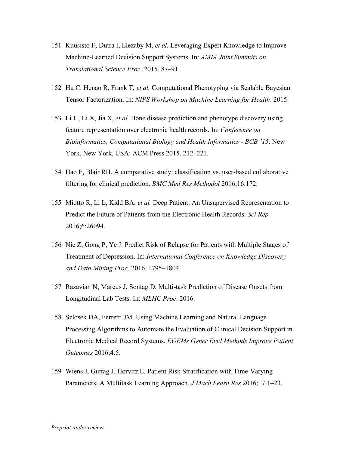- 151 Kuusisto F, Dutra I, Elezaby M, *et al.* Leveraging Expert Knowledge to Improve Machine-Learned Decision Support Systems. In: *AMIA Joint Summits on Translational Science Proc*. 2015. 87–91.
- 152 Hu C, Henao R, Frank T, *et al.* Computational Phenotyping via Scalable Bayesian Tensor Factorization. In: *NIPS Workshop on Machine Learning for Health*. 2015.
- 153 Li H, Li X, Jia X, *et al.* Bone disease prediction and phenotype discovery using feature representation over electronic health records. In: *Conference on Bioinformatics, Computational Biology and Health Informatics - BCB '15*. New York, New York, USA: ACM Press 2015. 212–221.
- 154 Hao F, Blair RH. A comparative study: classification vs. user-based collaborative filtering for clinical prediction. *BMC Med Res Methodol* 2016;16:172.
- 155 Miotto R, Li L, Kidd BA, *et al.* Deep Patient: An Unsupervised Representation to Predict the Future of Patients from the Electronic Health Records. *Sci Rep* 2016;6:26094.
- 156 Nie Z, Gong P, Ye J. Predict Risk of Relapse for Patients with Multiple Stages of Treatment of Depression. In: *International Conference on Knowledge Discovery and Data Mining Proc*. 2016. 1795–1804.
- 157 Razavian N, Marcus J, Sontag D. Multi-task Prediction of Disease Onsets from Longitudinal Lab Tests. In: *MLHC Proc*. 2016.
- 158 Szlosek DA, Ferretti JM. Using Machine Learning and Natural Language Processing Algorithms to Automate the Evaluation of Clinical Decision Support in Electronic Medical Record Systems. *EGEMs Gener Evid Methods Improve Patient Outcomes* 2016;4:5.
- 159 Wiens J, Guttag J, Horvitz E. Patient Risk Stratification with Time-Varying Parameters: A Multitask Learning Approach. *J Mach Learn Res* 2016;17:1–23.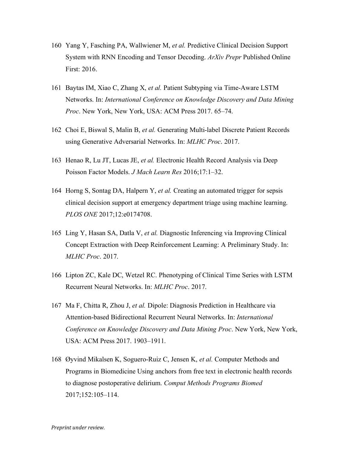- 160 Yang Y, Fasching PA, Wallwiener M, *et al.* Predictive Clinical Decision Support System with RNN Encoding and Tensor Decoding. *ArXiv Prepr* Published Online First: 2016.
- 161 Baytas IM, Xiao C, Zhang X, *et al.* Patient Subtyping via Time-Aware LSTM Networks. In: *International Conference on Knowledge Discovery and Data Mining Proc*. New York, New York, USA: ACM Press 2017. 65–74.
- 162 Choi E, Biswal S, Malin B, *et al.* Generating Multi-label Discrete Patient Records using Generative Adversarial Networks. In: *MLHC Proc*. 2017.
- 163 Henao R, Lu JT, Lucas JE, *et al.* Electronic Health Record Analysis via Deep Poisson Factor Models. *J Mach Learn Res* 2016;17:1–32.
- 164 Horng S, Sontag DA, Halpern Y, *et al.* Creating an automated trigger for sepsis clinical decision support at emergency department triage using machine learning. *PLOS ONE* 2017;12:e0174708.
- 165 Ling Y, Hasan SA, Datla V, *et al.* Diagnostic Inferencing via Improving Clinical Concept Extraction with Deep Reinforcement Learning: A Preliminary Study. In: *MLHC Proc*. 2017.
- 166 Lipton ZC, Kale DC, Wetzel RC. Phenotyping of Clinical Time Series with LSTM Recurrent Neural Networks. In: *MLHC Proc*. 2017.
- 167 Ma F, Chitta R, Zhou J, *et al.* Dipole: Diagnosis Prediction in Healthcare via Attention-based Bidirectional Recurrent Neural Networks. In: *International Conference on Knowledge Discovery and Data Mining Proc*. New York, New York, USA: ACM Press 2017. 1903–1911.
- 168 Øyvind Mikalsen K, Soguero-Ruiz C, Jensen K, *et al.* Computer Methods and Programs in Biomedicine Using anchors from free text in electronic health records to diagnose postoperative delirium. *Comput Methods Programs Biomed* 2017;152:105–114.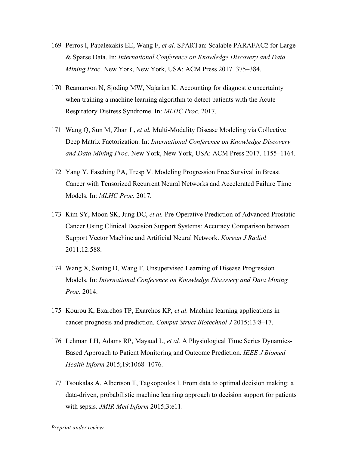- 169 Perros I, Papalexakis EE, Wang F, *et al.* SPARTan: Scalable PARAFAC2 for Large & Sparse Data. In: *International Conference on Knowledge Discovery and Data Mining Proc*. New York, New York, USA: ACM Press 2017. 375–384.
- 170 Reamaroon N, Sjoding MW, Najarian K. Accounting for diagnostic uncertainty when training a machine learning algorithm to detect patients with the Acute Respiratory Distress Syndrome. In: *MLHC Proc*. 2017.
- 171 Wang Q, Sun M, Zhan L, *et al.* Multi-Modality Disease Modeling via Collective Deep Matrix Factorization. In: *International Conference on Knowledge Discovery and Data Mining Proc*. New York, New York, USA: ACM Press 2017. 1155–1164.
- 172 Yang Y, Fasching PA, Tresp V. Modeling Progression Free Survival in Breast Cancer with Tensorized Recurrent Neural Networks and Accelerated Failure Time Models. In: *MLHC Proc*. 2017.
- 173 Kim SY, Moon SK, Jung DC, *et al.* Pre-Operative Prediction of Advanced Prostatic Cancer Using Clinical Decision Support Systems: Accuracy Comparison between Support Vector Machine and Artificial Neural Network. *Korean J Radiol* 2011;12:588.
- 174 Wang X, Sontag D, Wang F. Unsupervised Learning of Disease Progression Models. In: *International Conference on Knowledge Discovery and Data Mining Proc*. 2014.
- 175 Kourou K, Exarchos TP, Exarchos KP, *et al.* Machine learning applications in cancer prognosis and prediction. *Comput Struct Biotechnol J* 2015;13:8–17.
- 176 Lehman LH, Adams RP, Mayaud L, *et al.* A Physiological Time Series Dynamics-Based Approach to Patient Monitoring and Outcome Prediction. *IEEE J Biomed Health Inform* 2015;19:1068–1076.
- 177 Tsoukalas A, Albertson T, Tagkopoulos I. From data to optimal decision making: a data-driven, probabilistic machine learning approach to decision support for patients with sepsis. *JMIR Med Inform* 2015;3:e11.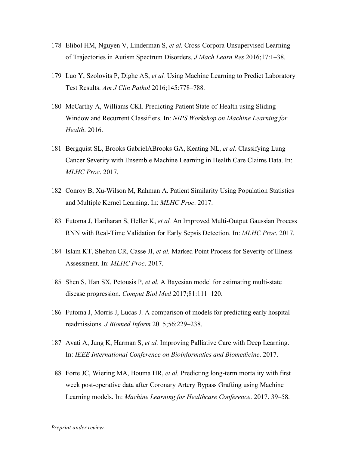- 178 Elibol HM, Nguyen V, Linderman S, *et al.* Cross-Corpora Unsupervised Learning of Trajectories in Autism Spectrum Disorders. *J Mach Learn Res* 2016;17:1–38.
- 179 Luo Y, Szolovits P, Dighe AS, *et al.* Using Machine Learning to Predict Laboratory Test Results. *Am J Clin Pathol* 2016;145:778–788.
- 180 McCarthy A, Williams CKI. Predicting Patient State-of-Health using Sliding Window and Recurrent Classifiers. In: *NIPS Workshop on Machine Learning for Health*. 2016.
- 181 Bergquist SL, Brooks GabrielABrooks GA, Keating NL, *et al.* Classifying Lung Cancer Severity with Ensemble Machine Learning in Health Care Claims Data. In: *MLHC Proc*. 2017.
- 182 Conroy B, Xu-Wilson M, Rahman A. Patient Similarity Using Population Statistics and Multiple Kernel Learning. In: *MLHC Proc*. 2017.
- 183 Futoma J, Hariharan S, Heller K, *et al.* An Improved Multi-Output Gaussian Process RNN with Real-Time Validation for Early Sepsis Detection. In: *MLHC Proc*. 2017.
- 184 Islam KT, Shelton CR, Casse JI, *et al.* Marked Point Process for Severity of Illness Assessment. In: *MLHC Proc*. 2017.
- 185 Shen S, Han SX, Petousis P, *et al.* A Bayesian model for estimating multi-state disease progression. *Comput Biol Med* 2017;81:111–120.
- 186 Futoma J, Morris J, Lucas J. A comparison of models for predicting early hospital readmissions. *J Biomed Inform* 2015;56:229–238.
- 187 Avati A, Jung K, Harman S, *et al.* Improving Palliative Care with Deep Learning. In: *IEEE International Conference on Bioinformatics and Biomedicine*. 2017.
- 188 Forte JC, Wiering MA, Bouma HR, *et al.* Predicting long-term mortality with first week post-operative data after Coronary Artery Bypass Grafting using Machine Learning models. In: *Machine Learning for Healthcare Conference*. 2017. 39–58.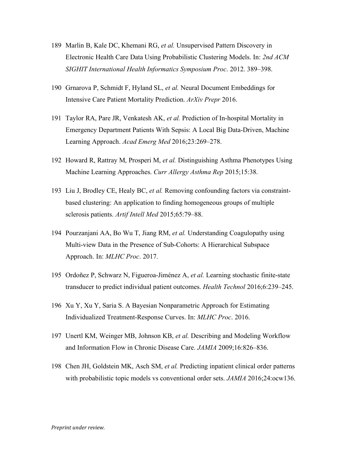- 189 Marlin B, Kale DC, Khemani RG, *et al.* Unsupervised Pattern Discovery in Electronic Health Care Data Using Probabilistic Clustering Models. In: *2nd ACM SIGHIT International Health Informatics Symposium Proc*. 2012. 389–398.
- 190 Grnarova P, Schmidt F, Hyland SL, *et al.* Neural Document Embeddings for Intensive Care Patient Mortality Prediction. *ArXiv Prepr* 2016.
- 191 Taylor RA, Pare JR, Venkatesh AK, *et al.* Prediction of In-hospital Mortality in Emergency Department Patients With Sepsis: A Local Big Data-Driven, Machine Learning Approach. *Acad Emerg Med* 2016;23:269–278.
- 192 Howard R, Rattray M, Prosperi M, *et al.* Distinguishing Asthma Phenotypes Using Machine Learning Approaches. *Curr Allergy Asthma Rep* 2015;15:38.
- 193 Liu J, Brodley CE, Healy BC, *et al.* Removing confounding factors via constraintbased clustering: An application to finding homogeneous groups of multiple sclerosis patients. *Artif Intell Med* 2015;65:79–88.
- 194 Pourzanjani AA, Bo Wu T, Jiang RM, *et al.* Understanding Coagulopathy using Multi-view Data in the Presence of Sub-Cohorts: A Hierarchical Subspace Approach. In: *MLHC Proc*. 2017.
- 195 Ordoñez P, Schwarz N, Figueroa-Jiménez A, *et al.* Learning stochastic finite-state transducer to predict individual patient outcomes. *Health Technol* 2016;6:239–245.
- 196 Xu Y, Xu Y, Saria S. A Bayesian Nonparametric Approach for Estimating Individualized Treatment-Response Curves. In: *MLHC Proc*. 2016.
- 197 Unertl KM, Weinger MB, Johnson KB, *et al.* Describing and Modeling Workflow and Information Flow in Chronic Disease Care. *JAMIA* 2009;16:826–836.
- 198 Chen JH, Goldstein MK, Asch SM, *et al.* Predicting inpatient clinical order patterns with probabilistic topic models vs conventional order sets. *JAMIA* 2016;24:ocw136.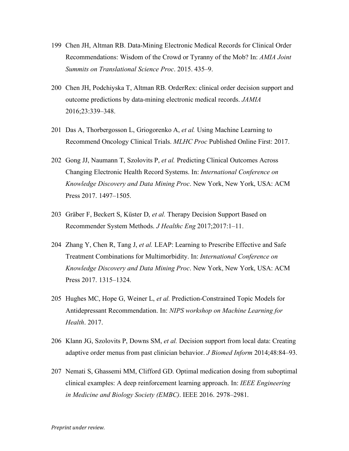- 199 Chen JH, Altman RB. Data-Mining Electronic Medical Records for Clinical Order Recommendations: Wisdom of the Crowd or Tyranny of the Mob? In: *AMIA Joint Summits on Translational Science Proc*. 2015. 435–9.
- 200 Chen JH, Podchiyska T, Altman RB. OrderRex: clinical order decision support and outcome predictions by data-mining electronic medical records. *JAMIA* 2016;23:339–348.
- 201 Das A, Thorbergosson L, Griogorenko A, *et al.* Using Machine Learning to Recommend Oncology Clinical Trials. *MLHC Proc* Published Online First: 2017.
- 202 Gong JJ, Naumann T, Szolovits P, *et al.* Predicting Clinical Outcomes Across Changing Electronic Health Record Systems. In: *International Conference on Knowledge Discovery and Data Mining Proc*. New York, New York, USA: ACM Press 2017. 1497–1505.
- 203 Gräber F, Beckert S, Küster D, *et al.* Therapy Decision Support Based on Recommender System Methods. *J Healthc Eng* 2017;2017:1–11.
- 204 Zhang Y, Chen R, Tang J, *et al.* LEAP: Learning to Prescribe Effective and Safe Treatment Combinations for Multimorbidity. In: *International Conference on Knowledge Discovery and Data Mining Proc*. New York, New York, USA: ACM Press 2017. 1315–1324.
- 205 Hughes MC, Hope G, Weiner L, *et al.* Prediction-Constrained Topic Models for Antidepressant Recommendation. In: *NIPS workshop on Machine Learning for Health*. 2017.
- 206 Klann JG, Szolovits P, Downs SM, *et al.* Decision support from local data: Creating adaptive order menus from past clinician behavior. *J Biomed Inform* 2014;48:84–93.
- 207 Nemati S, Ghassemi MM, Clifford GD. Optimal medication dosing from suboptimal clinical examples: A deep reinforcement learning approach. In: *IEEE Engineering in Medicine and Biology Society (EMBC)*. IEEE 2016. 2978–2981.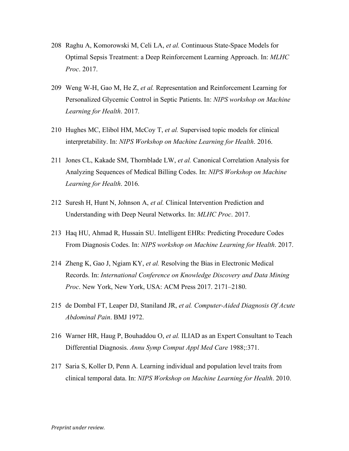- 208 Raghu A, Komorowski M, Celi LA, *et al.* Continuous State-Space Models for Optimal Sepsis Treatment: a Deep Reinforcement Learning Approach. In: *MLHC Proc*. 2017.
- 209 Weng W-H, Gao M, He Z, *et al.* Representation and Reinforcement Learning for Personalized Glycemic Control in Septic Patients. In: *NIPS workshop on Machine Learning for Health*. 2017.
- 210 Hughes MC, Elibol HM, McCoy T, *et al.* Supervised topic models for clinical interpretability. In: *NIPS Workshop on Machine Learning for Health*. 2016.
- 211 Jones CL, Kakade SM, Thornblade LW, *et al.* Canonical Correlation Analysis for Analyzing Sequences of Medical Billing Codes. In: *NIPS Workshop on Machine Learning for Health*. 2016.
- 212 Suresh H, Hunt N, Johnson A, *et al.* Clinical Intervention Prediction and Understanding with Deep Neural Networks. In: *MLHC Proc*. 2017.
- 213 Haq HU, Ahmad R, Hussain SU. Intelligent EHRs: Predicting Procedure Codes From Diagnosis Codes. In: *NIPS workshop on Machine Learning for Health*. 2017.
- 214 Zheng K, Gao J, Ngiam KY, *et al.* Resolving the Bias in Electronic Medical Records. In: *International Conference on Knowledge Discovery and Data Mining Proc*. New York, New York, USA: ACM Press 2017. 2171–2180.
- 215 de Dombal FT, Leaper DJ, Staniland JR, *et al. Computer-Aided Diagnosis Of Acute Abdominal Pain*. BMJ 1972.
- 216 Warner HR, Haug P, Bouhaddou O, *et al.* ILIAD as an Expert Consultant to Teach Differential Diagnosis. *Annu Symp Comput Appl Med Care* 1988;:371.
- 217 Saria S, Koller D, Penn A. Learning individual and population level traits from clinical temporal data. In: *NIPS Workshop on Machine Learning for Health*. 2010.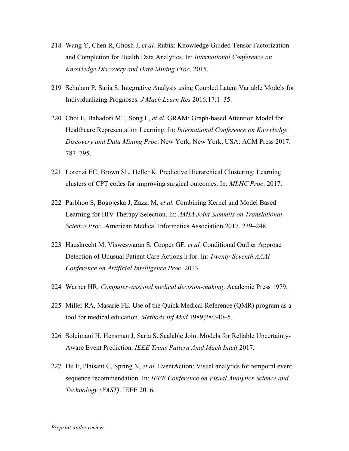- 218 Wang Y, Chen R, Ghosh J, *et al.* Rubik: Knowledge Guided Tensor Factorization and Completion for Health Data Analytics. In: *International Conference on Knowledge Discovery and Data Mining Proc*. 2015.
- 219 Schulam P, Saria S. Integrative Analysis using Coupled Latent Variable Models for Individualizing Prognoses. *J Mach Learn Res* 2016;17:1–35.
- 220 Choi E, Bahadori MT, Song L, *et al.* GRAM: Graph-based Attention Model for Healthcare Representation Learning. In: *International Conference on Knowledge Discovery and Data Mining Proc*. New York, New York, USA: ACM Press 2017. 787–795.
- 221 Lorenzi EC, Brown SL, Heller K. Predictive Hierarchical Clustering: Learning clusters of CPT codes for improving surgical outcomes. In: *MLHC Proc*. 2017.
- 222 Parbhoo S, Bogojeska J, Zazzi M, *et al.* Combining Kernel and Model Based Learning for HIV Therapy Selection. In: *AMIA Joint Summits on Translational Science Proc*. American Medical Informatics Association 2017. 239–248.
- 223 Hauskrecht M, Visweswaran S, Cooper GF, *et al.* Conditional Outlier Approac Detection of Unusual Patient Care Actions h for. In: *Twenty-Seventh AAAI Conference on Artificial Intelligence Proc*. 2013.
- 224 Warner HR. *Computer–assisted medical decision-making*. Academic Press 1979.
- 225 Miller RA, Masarie FE. Use of the Quick Medical Reference (QMR) program as a tool for medical education. *Methods Inf Med* 1989;28:340–5.
- 226 Soleimani H, Hensman J, Saria S. Scalable Joint Models for Reliable Uncertainty-Aware Event Prediction. *IEEE Trans Pattern Anal Mach Intell* 2017.
- 227 Du F, Plaisant C, Spring N, *et al.* EventAction: Visual analytics for temporal event sequence recommendation. In: *IEEE Conference on Visual Analytics Science and Technology (VAST)*. IEEE 2016.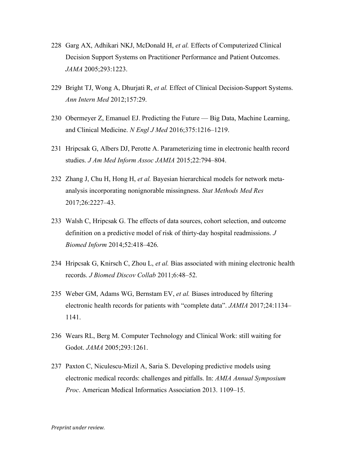- 228 Garg AX, Adhikari NKJ, McDonald H, *et al.* Effects of Computerized Clinical Decision Support Systems on Practitioner Performance and Patient Outcomes. *JAMA* 2005;293:1223.
- 229 Bright TJ, Wong A, Dhurjati R, *et al.* Effect of Clinical Decision-Support Systems. *Ann Intern Med* 2012;157:29.
- 230 Obermeyer Z, Emanuel EJ. Predicting the Future Big Data, Machine Learning, and Clinical Medicine. *N Engl J Med* 2016;375:1216–1219.
- 231 Hripcsak G, Albers DJ, Perotte A. Parameterizing time in electronic health record studies. *J Am Med Inform Assoc JAMIA* 2015;22:794–804.
- 232 Zhang J, Chu H, Hong H, *et al.* Bayesian hierarchical models for network metaanalysis incorporating nonignorable missingness. *Stat Methods Med Res* 2017;26:2227–43.
- 233 Walsh C, Hripcsak G. The effects of data sources, cohort selection, and outcome definition on a predictive model of risk of thirty-day hospital readmissions. *J Biomed Inform* 2014;52:418–426.
- 234 Hripcsak G, Knirsch C, Zhou L, *et al.* Bias associated with mining electronic health records. *J Biomed Discov Collab* 2011;6:48–52.
- 235 Weber GM, Adams WG, Bernstam EV, *et al.* Biases introduced by filtering electronic health records for patients with "complete data". *JAMIA* 2017;24:1134– 1141.
- 236 Wears RL, Berg M. Computer Technology and Clinical Work: still waiting for Godot. *JAMA* 2005;293:1261.
- 237 Paxton C, Niculescu-Mizil A, Saria S. Developing predictive models using electronic medical records: challenges and pitfalls. In: *AMIA Annual Symposium Proc*. American Medical Informatics Association 2013. 1109–15.